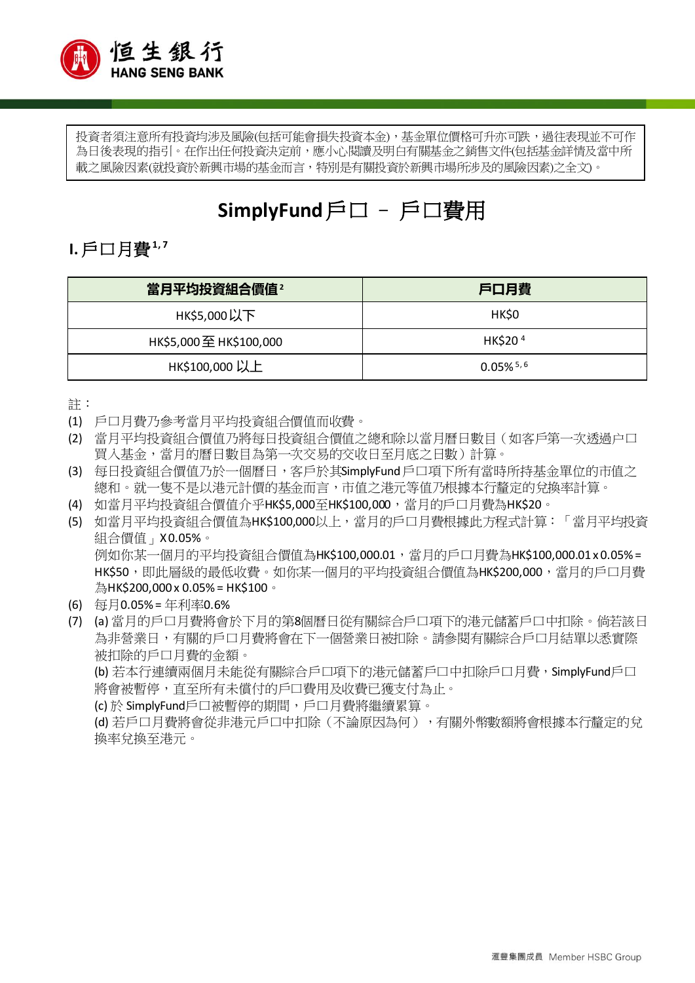

投資者須注意所有投資均涉及風險(包括可能會損失投資本金),基金單位價格可升亦可跌,過往表現並不可作 為日後表現的指引。在作出任何投資決定前,應小心閱讀及明白有關基金之銷售文件(包括基金詳情及當中所 載之風險因素(就投資於新興市場的基金而言,特別是有關投資於新興市場所涉及的風險因素)之全文)。

# **SimplyFund**戶口 – 戶口費用

#### **Ⅰ.** 戶口月費<sup>1,7</sup>

| 當月平均投資組合價值 <sup>2</sup> | 戶口月費                    |
|-------------------------|-------------------------|
| HK\$5,000以下             | HK\$0                   |
| HK\$5,000 至 HK\$100,000 | HK\$20 <sup>4</sup>     |
| HK\$100,000 以上          | $0.05\%$ <sup>5,6</sup> |

註:

- (1) 戶口月費乃參考當月平均投資組合價值而收費。
- (2) 當月平均投資組合價值乃將每日投資組合價值之總和除以當月曆日數目(如客戶第一次透過户口 買入基金,當月的曆日數目為第一次交易的交收日至月底之日數)計算。
- (3) 每日投資組合價值乃於一個曆日,客戶於其SimplyFund 戶口項下所有當時所持基金單位的市值之 總和。就一隻不是以港元計價的基金而言,市值之港元等值乃根據本行釐定的兌換率計算。
- (4) 如當月平均投資組合價值介乎HK\$5,000至HK\$100,000,當月的戶口月費為HK\$20。
- (5) 如當月平均投資組合價值為HK\$100,000以上,當月的戶口月費根據此方程式計算:「當月平均投資 組合價值」X 0.05%。 例如你某一個月的平均投資組合價值為HK\$100,000.01,當月的戶口月費為HK\$100,000.01 x 0.05% = HK\$50,即此層級的最低收費。如你某一個月的平均投資組合價值為HK\$200,000,當月的戶口月費 為НК\$200,000 x 0.05% = НК\$100。
- (6) 每月0.05% = 年利率0.6%
- (7) (a) 當月的戶口月費將會於下月的第8個曆日從有關綜合戶口項下的港元儲蓄戶口中扣除。倘若該日 為非營業日,有關的戶口月費將會在下一個營業日被扣除。請參閱有關綜合戶口月結單以悉實際 被扣除的戶口月費的金額。

(b) 若本行連續兩個月未能從有關綜合戶口項下的港元儲蓄戶口中扣除戶口月費,SimplyFund戶口 將會被暫停,直至所有未償付的戶口費用及收費已獲支付為止。

(c)於 SimplyFund戶口被暫停的期間,戶口月費將繼續累算。

(d) 若戶口月費將會從非港元戶口中扣除(不論原因為何),有關外幣數額將會根據本行釐定的兌 換率兌換至港元。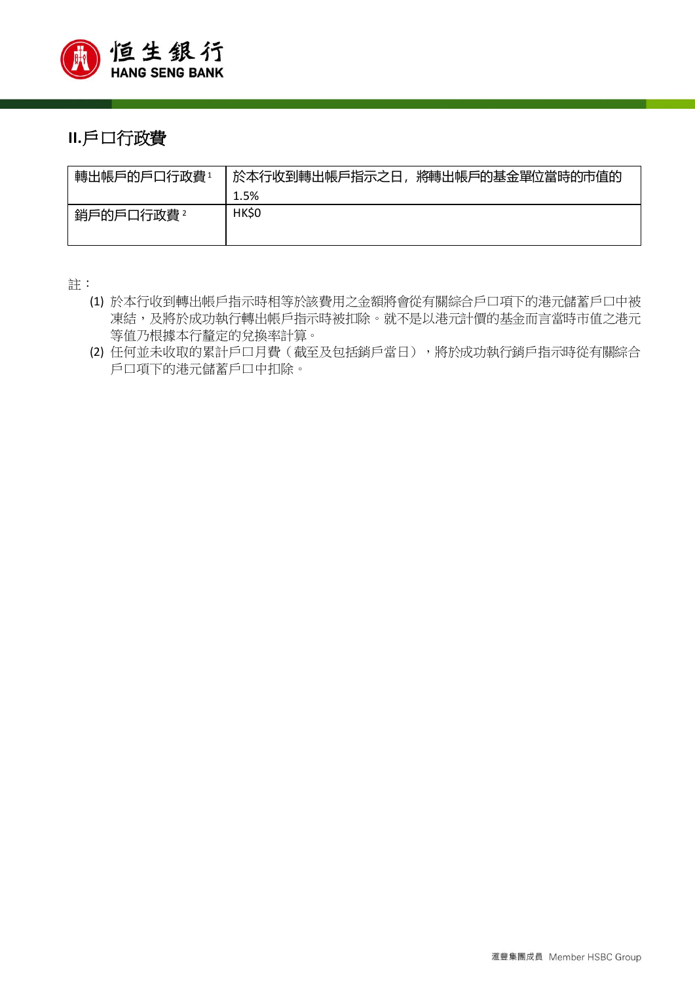

### **II.**戶口行政費

| 轉出帳戶的戶口行政費1 | 於本行收到轉出帳戶指示之日,將轉出帳戶的基金單位當時的市值的 |
|-------------|--------------------------------|
|             | 1.5%                           |
| 銷戶的戶口行政費 2  | <b>HK\$0</b>                   |

註:

- (1) 於本行收到轉出帳戶指示時相等於該費用之金額將會從有關綜合戶口項下的港元儲蓄戶口中被 凍結,及將於成功執行轉出帳戶指示時被扣除。就不是以港元計價的基金而言當時市值之港元 等值乃根據本行釐定的兌換率計算。
- (2) 任何並未收取的累計戶口月費(截至及包括銷戶當日),將於成功執行銷戶指示時從有關綜合 戶口項下的港元儲蓄戶口中扣除。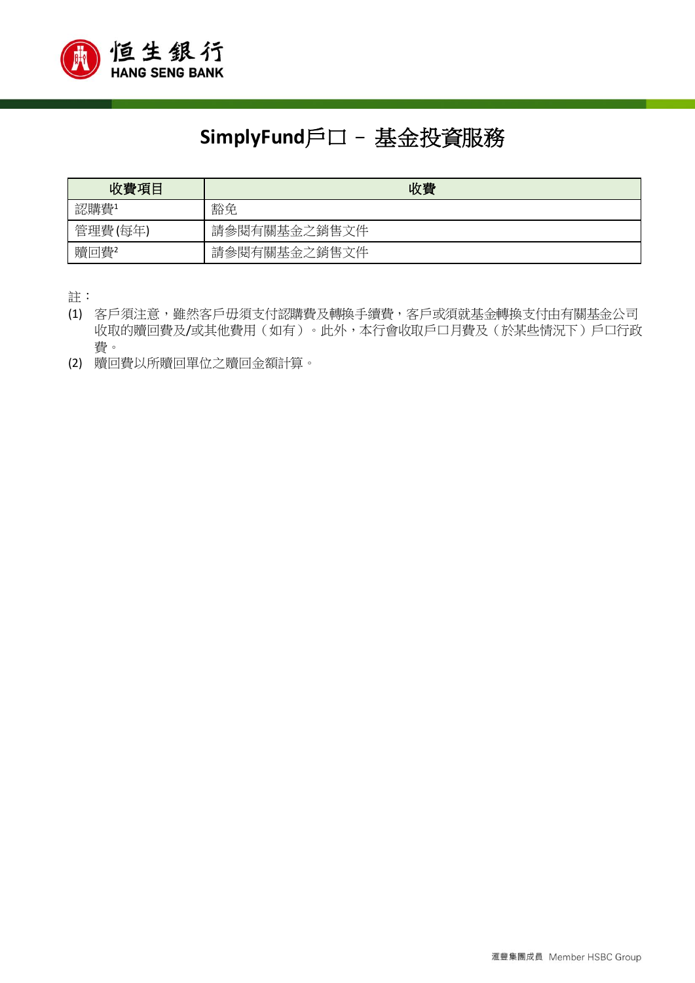

# **SimplyFund**戶口– 基金投資服務

| 收費項目    | 收費           |
|---------|--------------|
| 認購費1    | 豁免           |
| 管理費(每年) | 請參閱有關基金之銷售文件 |
| 贖回費2    | 請參閱有關基金之銷售文件 |

註:

- (1) 客戶須注意,雖然客戶毋須支付認購費及轉換手續費,客戶或須就基金轉換支付由有關基金公司 收取的贖回費及/或其他費用(如有)。此外,本行會收取戶口月費及(於某些情況下)戶口行政 費。
- (2) 贖回費以所贖回單位之贖回金額計算。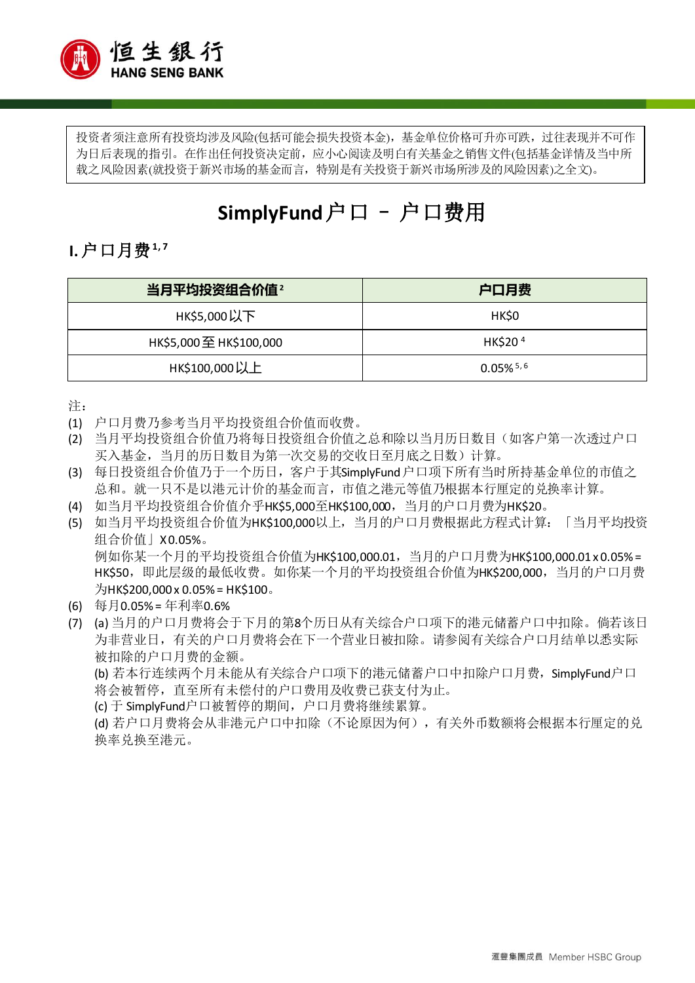

投资者须注意所有投资均涉及风险(包括可能会损失投资本金),基金单位价格可升亦可跌,过往表现并不可作 为日后表现的指引。在作出任何投资决定前,应小心阅读及明白有关基金之销售文件(包括基金详情及当中所 载之风险因素(就投资于新兴市场的基金而言,特别是有关投资于新兴市场所涉及的风险因素)之全文)。

# **SimplyFund** 户口 – 户口费用

1. 户口月费<sup>1,7</sup>

| 当月平均投资组合价值 <sup>2</sup> | 户口月费                    |
|-------------------------|-------------------------|
| нк\$5,000以下             | HK\$0                   |
| HK\$5,000至 HK\$100,000  | HK\$20 <sup>4</sup>     |
| нк\$100,000以上           | $0.05\%$ <sup>5,6</sup> |

注:

- (1) 户口月费乃参考当月平均投资组合价值而收费。
- (2) 当月平均投资组合价值乃将每日投资组合价值之总和除以当月历日数目(如客户第一次透过户口 买入基金,当月的历日数目为第一次交易的交收日至月底之日数)计算。
- (3) 每日投资组合价值乃于一个历日,客户于其SimplyFund 户口项下所有当时所持基金单位的市值之 总和。就一只不是以港元计价的基金而言,市值之港元等值乃根据本行厘定的兑换率计算。
- (4) 如当月平均投资组合价值介乎HK\$5,000至HK\$100,000,当月的户口月费为HK\$20。
- (5) 如当月平均投资组合价值为HK\$100,000以上,当月的户口月费根据此方程式计算:「当月平均投资 组合价值」X 0.05%。 例如你某一个月的平均投资组合价值为HK\$100,000.01,当月的户口月费为HK\$100,000.01 x 0.05% = HK\$50, 即此层级的最低收费。如你某一个月的平均投资组合价值为HK\$200,000, 当月的户口月费  $H$ HK\$200,000 x 0.05% = HK\$100.
- (6) 每月0.05% = 年利率0.6%
- (7) (a) 当月的户口月费将会于下月的第8个历日从有关综合户口项下的港元储蓄户口中扣除。倘若该日 为非营业日,有关的户口月费将会在下一个营业日被扣除。请参阅有关综合户口月结单以悉实际 被扣除的户口月费的金额。

(b) 若本行连续两个月未能从有关综合户口项下的港元储蓄户口中扣除户口月费,SimplyFund户口 将会被暂停,直至所有未偿付的户口费用及收费已获支付为止。

(c) 于 SimplyFund户口被暂停的期间,户口月费将继续累算。

(d) 若户口月费将会从非港元户口中扣除(不论原因为何),有关外币数额将会根据本行厘定的兑 换率兑换至港元。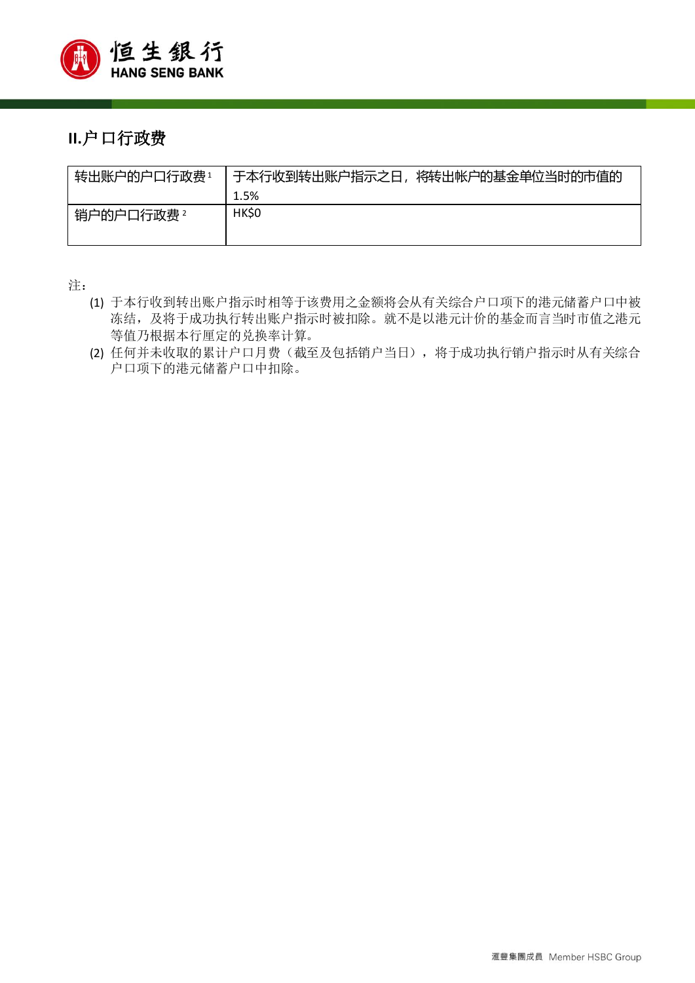

### **II.**户口行政费

| 转出账户的户口行政费1 | 于本行收到转出账户指示之日,将转出帐户的基金单位当时的市值的 |
|-------------|--------------------------------|
|             | 1.5%                           |
| 销户的户口行政费 2  | HK\$0                          |

注:

- (1) 于本行收到转出账户指示时相等于该费用之金额将会从有关综合户口项下的港元储蓄户口中被 冻结,及将于成功执行转出账户指示时被扣除。就不是以港元计价的基金而言当时市值之港元 等值乃根据本行厘定的兑换率计算。
- (2) 任何并未收取的累计户口月费(截至及包括销户当日),将于成功执行销户指示时从有关综合 户口项下的港元储蓄户口中扣除。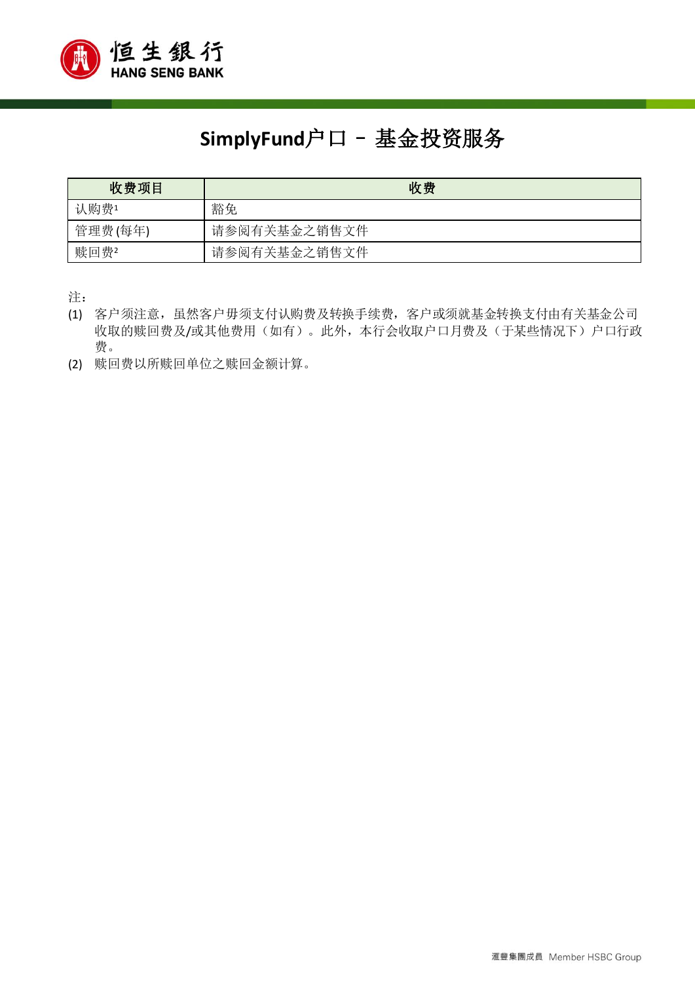

# **SimplyFund**户口– 基金投资服务

| 收费项目    | 收费           |
|---------|--------------|
| 认购费1    | 豁免           |
| 管理费(每年) | 请参阅有关基金之销售文件 |
| 赎回费2    | 请参阅有关基金之销售文件 |

注:

- (1) 客户须注意,虽然客户毋须支付认购费及转换手续费,客户或须就基金转换支付由有关基金公司 收取的赎回费及/或其他费用(如有)。此外,本行会收取户口月费及(于某些情况下)户口行政 费。
- (2) 赎回费以所赎回单位之赎回金额计算。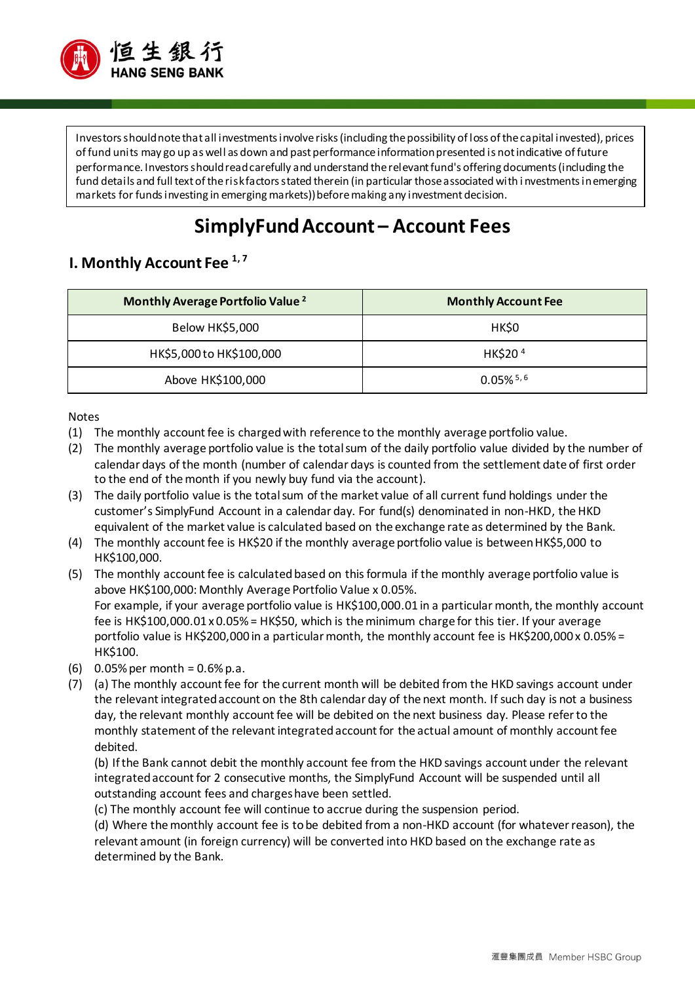

Investors should note that all investments involve risks (including the possibility of loss of the capital invested), prices of fund units may go up as well as down and past performance information presented is not indicative of future performance. Investors should read carefully and understand the relevant fund's offering documents (including the fund details and full text of the risk factors stated therein (in particular those associated with i nvestments in emerging markets for funds investing in emerging markets)) before making any investment decision.

## **SimplyFund Account – Account Fees**

#### **I. Monthly Account Fee 1, 7**

| Monthly Average Portfolio Value <sup>2</sup> | <b>Monthly Account Fee</b> |
|----------------------------------------------|----------------------------|
| Below HK\$5,000                              | HK\$0                      |
| HK\$5,000 to HK\$100,000                     | HK\$204                    |
| Above HK\$100,000                            | $0.05\%$ <sup>5,6</sup>    |

Notes

- (1) The monthly account fee is charged with reference to the monthly average portfolio value.
- (2) The monthly average portfolio value is the total sum of the daily portfolio value divided by the number of calendar days of the month (number of calendar days is counted from the settlement date of first order to the end of the month if you newly buy fund via the account).
- (3) The daily portfolio value is the total sum of the market value of all current fund holdings under the customer's SimplyFund Account in a calendar day. For fund(s) denominated in non-HKD, the HKD equivalent of the market value is calculated based on the exchange rate as determined by the Bank.
- (4) The monthly account fee is HK\$20 if the monthly average portfolio value is between HK\$5,000 to HK\$100,000.
- (5) The monthly account fee is calculated based on this formula if the monthly average portfolio value is above HK\$100,000: Monthly Average Portfolio Value x 0.05%. For example, if your average portfolio value is HK\$100,000.01 in a particular month, the monthly account fee is HK\$100,000.01 x 0.05% = HK\$50, which is the minimum charge for this tier. If your average portfolio value is HK\$200,000 in a particular month, the monthly account fee is HK\$200,000 x 0.05% = HK\$100.
- (6)  $0.05\%$  per month =  $0.6\%$  p.a.
- (7) (a) The monthly account fee for the current month will be debited from the HKD savings account under the relevant integrated account on the 8th calendar day of the next month. If such day is not a business day, the relevant monthly account fee will be debited on the next business day. Please refer to the monthly statement of the relevant integrated account for the actual amount of monthly account fee debited.

(b) If the Bank cannot debit the monthly account fee from the HKD savings account under the relevant integrated account for 2 consecutive months, the SimplyFund Account will be suspended until all outstanding account fees and charges have been settled.

(c) The monthly account fee will continue to accrue during the suspension period.

(d) Where the monthly account fee is to be debited from a non-HKD account (for whatever reason), the relevant amount (in foreign currency) will be converted into HKD based on the exchange rate as determined by the Bank.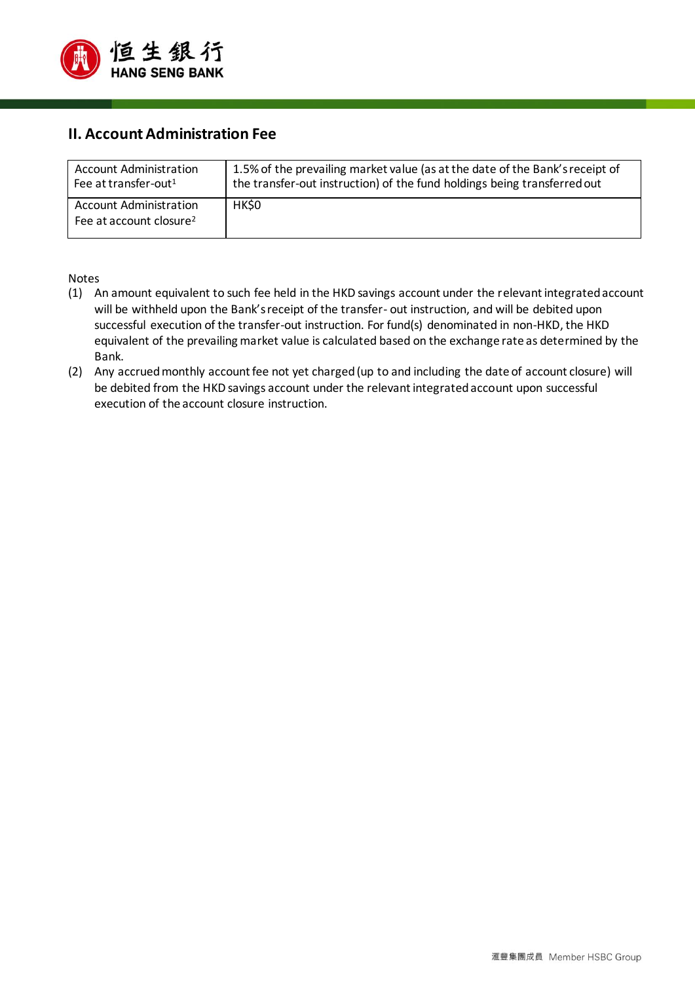

#### **II. Account Administration Fee**

| <b>Account Administration</b>                                        | 1.5% of the prevailing market value (as at the date of the Bank's receipt of |
|----------------------------------------------------------------------|------------------------------------------------------------------------------|
| Fee at transfer-out <sup>1</sup>                                     | the transfer-out instruction) of the fund holdings being transferred out     |
| <b>Account Administration</b><br>Fee at account closure <sup>2</sup> | HK\$0                                                                        |

#### Notes

- (1) An amount equivalent to such fee held in the HKD savings account under the relevant integrated account will be withheld upon the Bank's receipt of the transfer- out instruction, and will be debited upon successful execution of the transfer-out instruction. For fund(s) denominated in non-HKD, the HKD equivalent of the prevailing market value is calculated based on the exchange rate as determined by the Bank.
- (2) Any accrued monthly account fee not yet charged (up to and including the date of account closure) will be debited from the HKD savings account under the relevant integrated account upon successful execution of the account closure instruction.